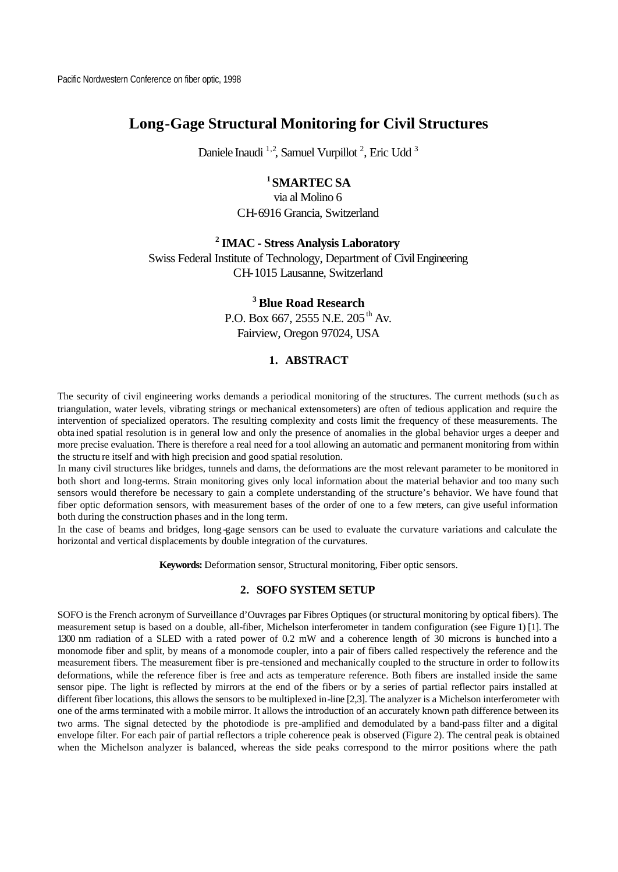# **Long-Gage Structural Monitoring for Civil Structures**

Daniele Inaudi<sup>1,2</sup>, Samuel Vurpillot<sup>2</sup>, Eric Udd<sup>3</sup>

# **<sup>1</sup>SMARTEC SA**

via al Molino 6 CH-6916 Grancia, Switzerland

## **<sup>2</sup>IMAC - Stress Analysis Laboratory**

Swiss Federal Institute of Technology, Department of Civil Engineering CH-1015 Lausanne, Switzerland

# **<sup>3</sup>Blue Road Research**

P.O. Box 667, 2555 N.E. 205<sup>th</sup> Av. Fairview, Oregon 97024, USA

## **1. ABSTRACT**

The security of civil engineering works demands a periodical monitoring of the structures. The current methods (su ch as triangulation, water levels, vibrating strings or mechanical extensometers) are often of tedious application and require the intervention of specialized operators. The resulting complexity and costs limit the frequency of these measurements. The obta ined spatial resolution is in general low and only the presence of anomalies in the global behavior urges a deeper and more precise evaluation. There is therefore a real need for a tool allowing an automatic and permanent monitoring from within the structu re itself and with high precision and good spatial resolution.

In many civil structures like bridges, tunnels and dams, the deformations are the most relevant parameter to be monitored in both short and long-terms. Strain monitoring gives only local information about the material behavior and too many such sensors would therefore be necessary to gain a complete understanding of the structure's behavior. We have found that fiber optic deformation sensors, with measurement bases of the order of one to a few meters, can give useful information both during the construction phases and in the long term.

In the case of beams and bridges, long -gage sensors can be used to evaluate the curvature variations and calculate the horizontal and vertical displacements by double integration of the curvatures.

**Keywords:** Deformation sensor, Structural monitoring, Fiber optic sensors.

#### **2. SOFO SYSTEM SETUP**

SOFO is the French acronym of Surveillance d'Ouvrages par Fibres Optiques (or structural monitoring by optical fibers). The measurement setup is based on a double, all-fiber, Michelson interferometer in tandem configuration (see Figure 1) [1]. The 1300 nm radiation of a SLED with a rated power of 0.2 mW and a coherence length of 30 microns is launched into a monomode fiber and split, by means of a monomode coupler, into a pair of fibers called respectively the reference and the measurement fibers. The measurement fiber is pre-tensioned and mechanically coupled to the structure in order to follow its deformations, while the reference fiber is free and acts as temperature reference. Both fibers are installed inside the same sensor pipe. The light is reflected by mirrors at the end of the fibers or by a series of partial reflector pairs installed at different fiber locations, this allows the sensors to be multiplexed in-line [2,3]. The analyzer is a Michelson interferometer with one of the arms terminated with a mobile mirror. It allows the introduction of an accurately known path difference between its two arms. The signal detected by the photodiode is pre-amplified and demodulated by a band-pass filter and a digital envelope filter. For each pair of partial reflectors a triple coherence peak is observed (Figure 2). The central peak is obtained when the Michelson analyzer is balanced, whereas the side peaks correspond to the mirror positions where the path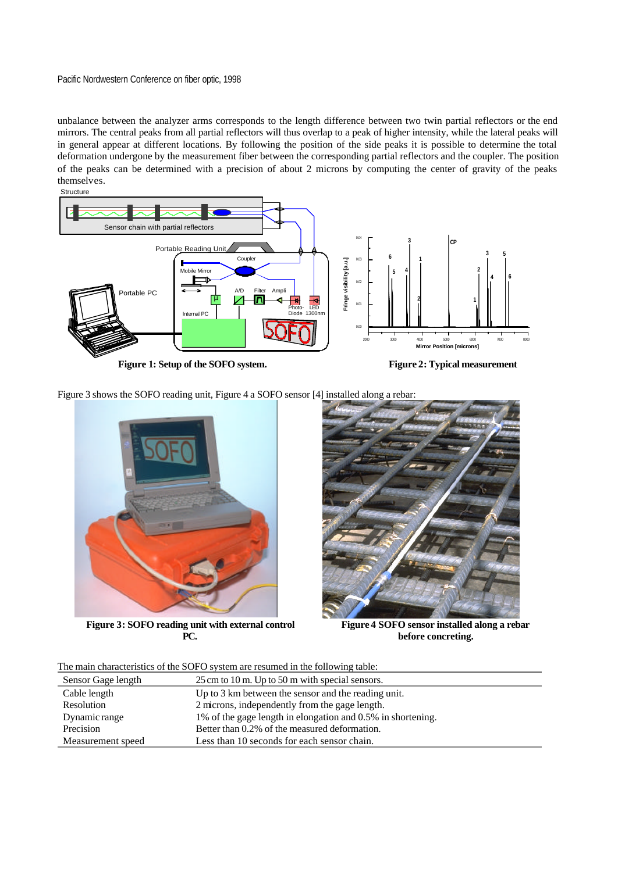unbalance between the analyzer arms corresponds to the length difference between two twin partial reflectors or the end mirrors. The central peaks from all partial reflectors will thus overlap to a peak of higher intensity, while the lateral peaks will in general appear at different locations. By following the position of the side peaks it is possible to determine the total deformation undergone by the measurement fiber between the corresponding partial reflectors and the coupler. The position of the peaks can be determined with a precision of about 2 microns by computing the center of gravity of the peaks themselves.



**Figure 1: Setup of the SOFO system. Figure 2: Typical measurement**

Figure 3 shows the SOFO reading unit, Figure 4 a SOFO sensor [4] installed along a rebar:



**Figure 3: SOFO reading unit with external control PC.**



**Figure 4 SOFO sensor installed along a rebar before concreting.**

The main characteristics of the SOFO system are resumed in the following table:

| Sensor Gage length | 25 cm to 10 m. Up to 50 m with special sensors.             |
|--------------------|-------------------------------------------------------------|
| Cable length       | Up to 3 km between the sensor and the reading unit.         |
| Resolution         | 2 microns, independently from the gage length.              |
| Dynamic range      | 1% of the gage length in elongation and 0.5% in shortening. |
| Precision          | Better than 0.2% of the measured deformation.               |
| Measurement speed  | Less than 10 seconds for each sensor chain.                 |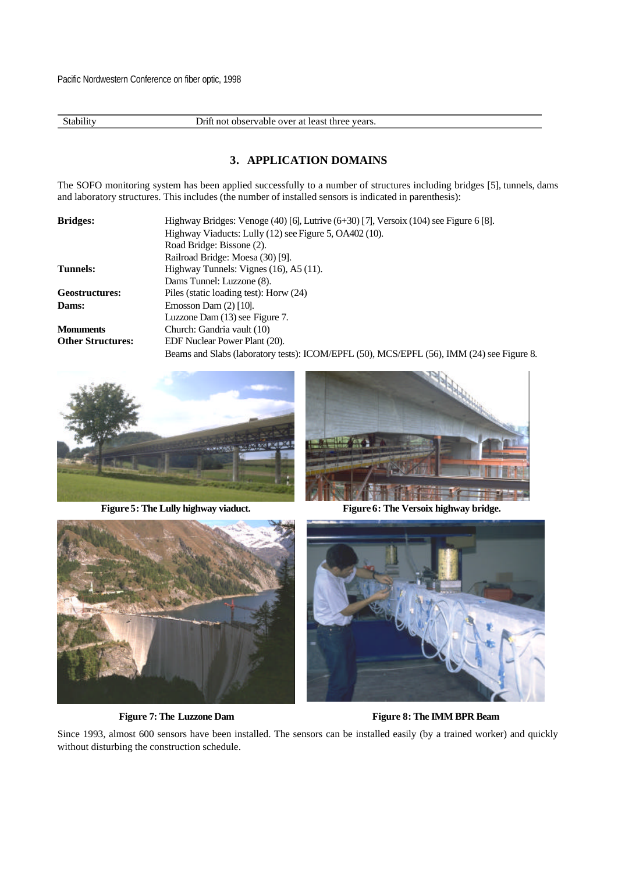Stability Drift not observable over at least three years.

### **3. APPLICATION DOMAINS**

The SOFO monitoring system has been applied successfully to a number of structures including bridges [5], tunnels, dams and laboratory structures. This includes (the number of installed sensors is indicated in parenthesis):

| <b>Bridges:</b>          | Highway Bridges: Venoge $(40)$ [6], Lutrive $(6+30)$ [7], Versoix $(104)$ see Figure 6 [8]. |
|--------------------------|---------------------------------------------------------------------------------------------|
|                          | Highway Viaducts: Lully (12) see Figure 5, OA402 (10).                                      |
|                          | Road Bridge: Bissone (2).                                                                   |
|                          | Railroad Bridge: Moesa (30) [9].                                                            |
| Tunnels:                 | Highway Tunnels: Vignes $(16)$ , A5 $(11)$ .                                                |
|                          | Dams Tunnel: Luzzone (8).                                                                   |
| <b>Geostructures:</b>    | Piles (static loading test): Horw (24)                                                      |
| Dams:                    | Emosson Dam $(2)$ [10].                                                                     |
|                          | Luzzone Dam (13) see Figure 7.                                                              |
| <b>Monuments</b>         | Church: Gandria vault (10)                                                                  |
| <b>Other Structures:</b> | EDF Nuclear Power Plant (20).                                                               |
|                          | Beams and Slabs (laboratory tests): ICOM/EPFL (50), MCS/EPFL (56), IMM (24) see Figure 8.   |





**Figure 5: The Lully highway viaduct. Figure 6: The Versoix highway bridge.**





**Figure 7: The Luzzone Dam Figure 8: The IMM BPR Beam**

Since 1993, almost 600 sensors have been installed. The sensors can be installed easily (by a trained worker) and quickly without disturbing the construction schedule.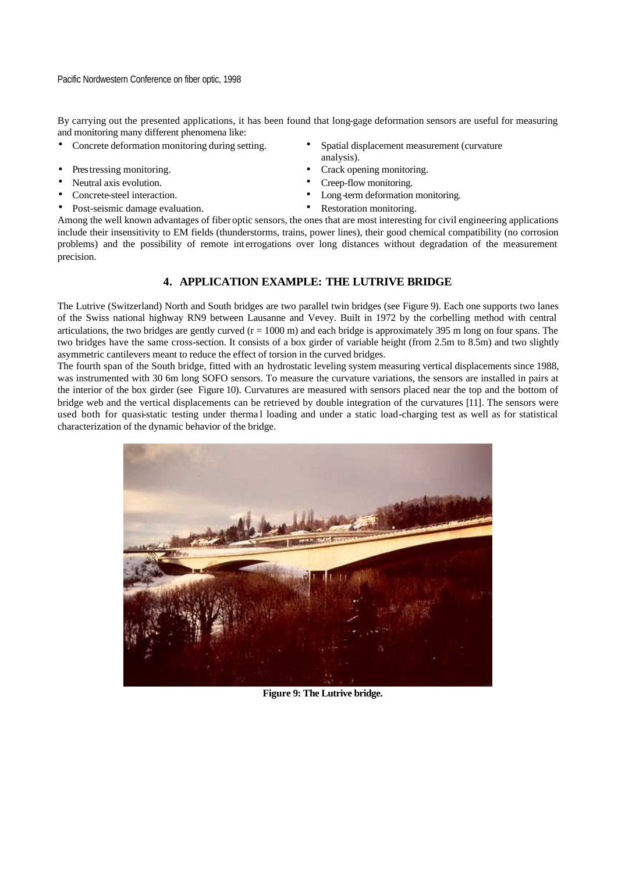By carrying out the presented applications, it has been found that long-gage deformation sensors are useful for measuring and monitoring many different phenomena like:

- 
- 
- 
- 
- Post-seismic damage evaluation. Restoration monitoring.
- Concrete deformation monitoring during setting. Spatial displacement measurement (curvature analysis).
- Prestressing monitoring.  $\bullet$  Crack opening monitoring.
- Neutral axis evolution. Creep-flow monitoring.
- Concrete-steel interaction. Long -term deformation monitoring.
	-

Among the well known advantages of fiber optic sensors, the ones that are most interesting for civil engineering applications include their insensitivity to EM fields (thunderstorms, trains, power lines), their good chemical compatibility (no corrosion problems) and the possibility of remote int errogations over long distances without degradation of the measurement precision.

## **4. APPLICATION EXAMPLE: THE LUTRIVE BRIDGE**

The Lutrive (Switzerland) North and South bridges are two parallel twin bridges (see Figure 9). Each one supports two lanes of the Swiss national highway RN9 between Lausanne and Vevey. Built in 1972 by the corbelling method with central articulations, the two bridges are gently curved  $(r = 1000 \text{ m})$  and each bridge is approximately 395 m long on four spans. The two bridges have the same cross-section. It consists of a box girder of variable height (from 2.5m to 8.5m) and two slightly asymmetric cantilevers meant to reduce the effect of torsion in the curved bridges.

The fourth span of the South bridge, fitted with an hydrostatic leveling system measuring vertical displacements since 1988, was instrumented with 30 6m long SOFO sensors. To measure the curvature variations, the sensors are installed in pairs at the interior of the box girder (see Figure 10). Curvatures are measured with sensors placed near the top and the bottom of bridge web and the vertical displacements can be retrieved by double integration of the curvatures [11]. The sensors were used both for quasi-static testing under thermal loading and under a static load-charging test as well as for statistical characterization of the dynamic behavior of the bridge.



**Figure 9: The Lutrive bridge.**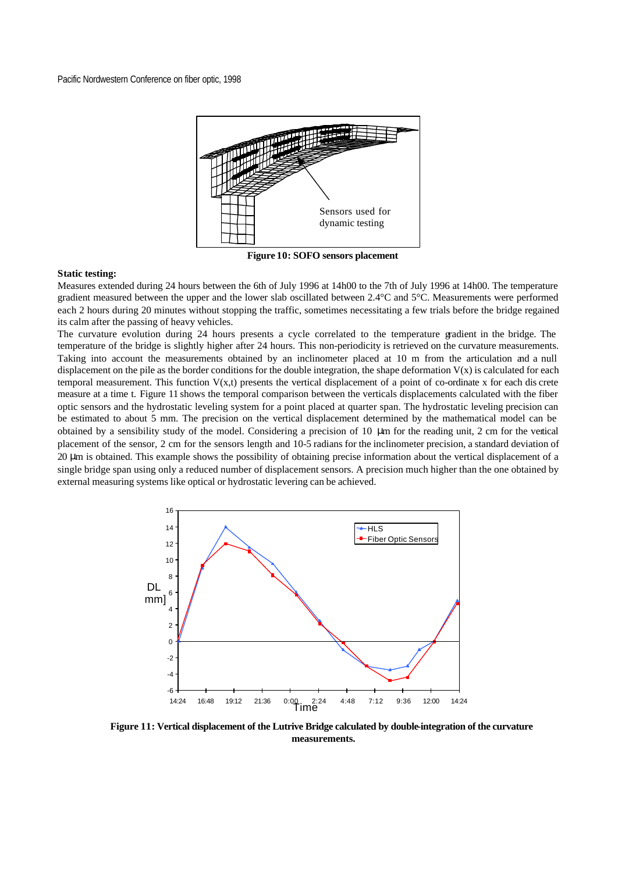

**Figure 10: SOFO sensors placement**

#### **Static testing:**

Measures extended during 24 hours between the 6th of July 1996 at 14h00 to the 7th of July 1996 at 14h00. The temperature gradient measured between the upper and the lower slab oscillated between 2.4°C and 5°C. Measurements were performed each 2 hours during 20 minutes without stopping the traffic, sometimes necessitating a few trials before the bridge regained its calm after the passing of heavy vehicles.

The curvature evolution during 24 hours presents a cycle correlated to the temperature gradient in the bridge. The temperature of the bridge is slightly higher after 24 hours. This non-periodicity is retrieved on the curvature measurements. Taking into account the measurements obtained by an inclinometer placed at 10 m from the articulation and a null displacement on the pile as the border conditions for the double integration, the shape deformation  $V(x)$  is calculated for each temporal measurement. This function  $V(x,t)$  presents the vertical displacement of a point of co-ordinate x for each dis crete measure at a time t. Figure 11 shows the temporal comparison between the verticals displacements calculated with the fiber optic sensors and the hydrostatic leveling system for a point placed at quarter span. The hydrostatic leveling precision can be estimated to about 5 mm. The precision on the vertical displacement determined by the mathematical model can be obtained by a sensibility study of the model. Considering a precision of 10 μm for the reading unit, 2 cm for the vertical placement of the sensor, 2 cm for the sensors length and 10-5 radians for the inclinometer precision, a standard deviation of 20 μm is obtained. This example shows the possibility of obtaining precise information about the vertical displacement of a single bridge span using only a reduced number of displacement sensors. A precision much higher than the one obtained by external measuring systems like optical or hydrostatic levering can be achieved.



**Figure 11: Vertical displacement of the Lutrive Bridge calculated by double-integration of the curvature measurements.**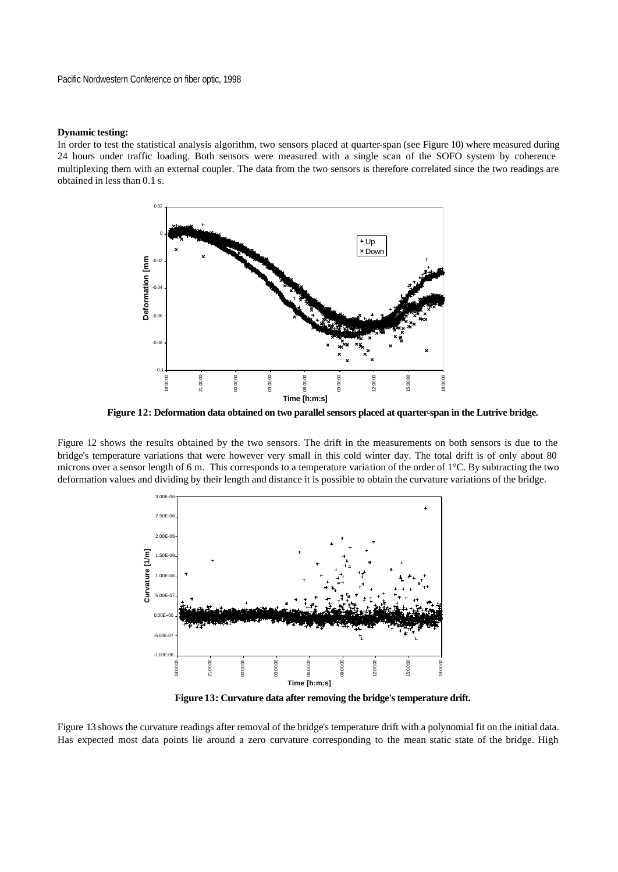#### **Dynamic testing:**

In order to test the statistical analysis algorithm, two sensors placed at quarter-span (see Figure 10) where measured during 24 hours under traffic loading. Both sensors were measured with a single scan of the SOFO system by coherence multiplexing them with an external coupler. The data from the two sensors is therefore correlated since the two readings are obtained in less than 0.1 s.



**Figure 12: Deformation data obtained on two parallel sensors placed at quarter-span in the Lutrive bridge.**

Figure 12 shows the results obtained by the two sensors. The drift in the measurements on both sensors is due to the bridge's temperature variations that were however very small in this cold winter day. The total drift is of only about 80 microns over a sensor length of 6 m. This corresponds to a temperature variation of the order of 1°C. By subtracting the two deformation values and dividing by their length and distance it is possible to obtain the curvature variations of the bridge.



**Figure 13: Curvature data after removing the bridge's temperature drift.**

Figure 13 shows the curvature readings after removal of the bridge's temperature drift with a polynomial fit on the initial data. Has expected most data points lie around a zero curvature corresponding to the mean static state of the bridge. High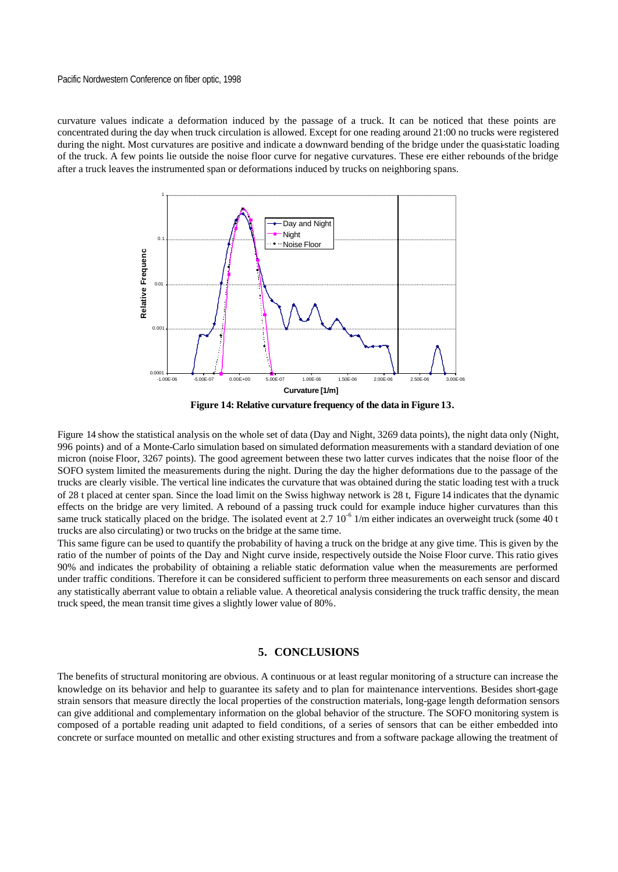curvature values indicate a deformation induced by the passage of a truck. It can be noticed that these points are concentrated during the day when truck circulation is allowed. Except for one reading around 21:00 no trucks were registered during the night. Most curvatures are positive and indicate a downward bending of the bridge under the quasi-static loading of the truck. A few points lie outside the noise floor curve for negative curvatures. These ere either rebounds of the bridge after a truck leaves the instrumented span or deformations induced by trucks on neighboring spans.



**Figure 14: Relative curvature frequency of the data in Figure 13.**

Figure 14 show the statistical analysis on the whole set of data (Day and Night, 3269 data points), the night data only (Night, 996 points) and of a Monte-Carlo simulation based on simulated deformation measurements with a standard deviation of one micron (noise Floor, 3267 points). The good agreement between these two latter curves indicates that the noise floor of the SOFO system limited the measurements during the night. During the day the higher deformations due to the passage of the trucks are clearly visible. The vertical line indicates the curvature that was obtained during the static loading test with a truck of 28 t placed at center span. Since the load limit on the Swiss highway network is 28 t, Figure 14 indicates that the dynamic effects on the bridge are very limited. A rebound of a passing truck could for example induce higher curvatures than this same truck statically placed on the bridge. The isolated event at 2.7  $10^{-6}$  1/m either indicates an overweight truck (some 40 t trucks are also circulating) or two trucks on the bridge at the same time.

This same figure can be used to quantify the probability of having a truck on the bridge at any give time. This is given by the ratio of the number of points of the Day and Night curve inside, respectively outside the Noise Floor curve. This ratio gives 90% and indicates the probability of obtaining a reliable static deformation value when the measurements are performed under traffic conditions. Therefore it can be considered sufficient to perform three measurements on each sensor and discard any statistically aberrant value to obtain a reliable value. A theoretical analysis considering the truck traffic density, the mean truck speed, the mean transit time gives a slightly lower value of 80%.

## **5. CONCLUSIONS**

The benefits of structural monitoring are obvious. A continuous or at least regular monitoring of a structure can increase the knowledge on its behavior and help to guarantee its safety and to plan for maintenance interventions. Besides short-gage strain sensors that measure directly the local properties of the construction materials, long-gage length deformation sensors can give additional and complementary information on the global behavior of the structure. The SOFO monitoring system is composed of a portable reading unit adapted to field conditions, of a series of sensors that can be either embedded into concrete or surface mounted on metallic and other existing structures and from a software package allowing the treatment of